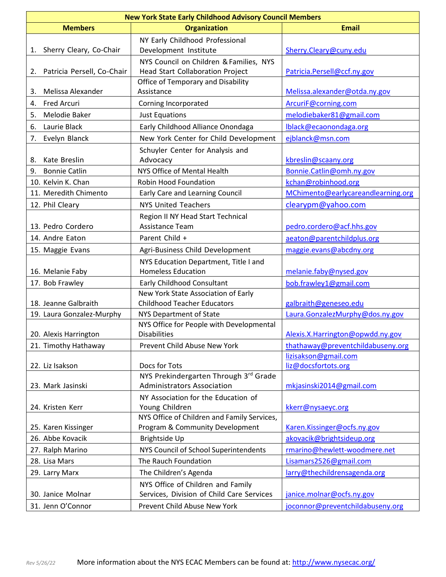| <b>New York State Early Childhood Advisory Council Members</b> |                                             |                                                           |  |  |
|----------------------------------------------------------------|---------------------------------------------|-----------------------------------------------------------|--|--|
| <b>Members</b>                                                 | <b>Organization</b>                         | <b>Email</b>                                              |  |  |
|                                                                | NY Early Childhood Professional             |                                                           |  |  |
| Sherry Cleary, Co-Chair<br>1.                                  | Development Institute                       | Sherry.Cleary@cuny.edu                                    |  |  |
|                                                                | NYS Council on Children & Families, NYS     |                                                           |  |  |
| Patricia Persell, Co-Chair<br>2.                               | Head Start Collaboration Project            | Patricia.Persell@ccf.ny.gov                               |  |  |
|                                                                | Office of Temporary and Disability          |                                                           |  |  |
| Melissa Alexander<br>3.                                        | Assistance                                  | Melissa.alexander@otda.ny.gov                             |  |  |
| <b>Fred Arcuri</b><br>4.                                       | Corning Incorporated                        | ArcuriF@corning.com                                       |  |  |
| 5.<br>Melodie Baker                                            | <b>Just Equations</b>                       | melodiebaker81@gmail.com                                  |  |  |
| Laurie Black<br>6.                                             | Early Childhood Alliance Onondaga           | Iblack@ecaonondaga.org                                    |  |  |
| 7.<br>Evelyn Blanck                                            | New York Center for Child Development       | ejblanck@msn.com                                          |  |  |
|                                                                | Schuyler Center for Analysis and            |                                                           |  |  |
| Kate Breslin<br>8.                                             | Advocacy                                    | kbreslin@scaany.org                                       |  |  |
| <b>Bonnie Catlin</b><br>9.                                     | NYS Office of Mental Health                 | Bonnie.Catlin@omh.ny.gov                                  |  |  |
| 10. Kelvin K. Chan                                             | <b>Robin Hood Foundation</b>                | kchan@robinhood.org                                       |  |  |
| 11. Meredith Chimento                                          | Early Care and Learning Council             | MChimento@earlycareandlearning.org                        |  |  |
| 12. Phil Cleary                                                | <b>NYS United Teachers</b>                  | clearypm@yahoo.com                                        |  |  |
|                                                                | Region II NY Head Start Technical           |                                                           |  |  |
| 13. Pedro Cordero                                              | Assistance Team                             | pedro.cordero@acf.hhs.gov                                 |  |  |
| 14. Andre Eaton                                                | Parent Child +                              | aeaton@parentchildplus.org                                |  |  |
| 15. Maggie Evans                                               | Agri-Business Child Development             | maggie.evans@abcdny.org                                   |  |  |
|                                                                | NYS Education Department, Title I and       |                                                           |  |  |
| 16. Melanie Faby                                               | <b>Homeless Education</b>                   | melanie.faby@nysed.gov                                    |  |  |
| 17. Bob Frawley                                                | Early Childhood Consultant                  | bob.frawley1@gmail.com                                    |  |  |
|                                                                | New York State Association of Early         |                                                           |  |  |
| 18. Jeanne Galbraith                                           | <b>Childhood Teacher Educators</b>          | galbraith@geneseo.edu                                     |  |  |
| 19. Laura Gonzalez-Murphy                                      | NYS Department of State                     | Laura.GonzalezMurphy@dos.ny.gov                           |  |  |
|                                                                | NYS Office for People with Developmental    |                                                           |  |  |
| 20. Alexis Harrington                                          | <b>Disabilities</b>                         | Alexis.X. Harrington@opwdd.ny.gov                         |  |  |
| 21. Timothy Hathaway                                           | Prevent Child Abuse New York                | thathaway@preventchildabuseny.org<br>lizisakson@gmail.com |  |  |
| 22. Liz Isakson                                                | Docs for Tots                               | liz@docsfortots.org                                       |  |  |
|                                                                | NYS Prekindergarten Through 3rd Grade       |                                                           |  |  |
| 23. Mark Jasinski                                              | <b>Administrators Association</b>           | mkjasinski2014@gmail.com                                  |  |  |
|                                                                | NY Association for the Education of         |                                                           |  |  |
| 24. Kristen Kerr                                               | Young Children                              | kkerr@nysaeyc.org                                         |  |  |
|                                                                | NYS Office of Children and Family Services, |                                                           |  |  |
| 25. Karen Kissinger                                            | Program & Community Development             | Karen.Kissinger@ocfs.ny.gov                               |  |  |
| 26. Abbe Kovacik                                               | Brightside Up                               | akovacik@brightsideup.org                                 |  |  |
| 27. Ralph Marino                                               | NYS Council of School Superintendents       | rmarino@hewlett-woodmere.net                              |  |  |
| 28. Lisa Mars                                                  | The Rauch Foundation                        | Lisamars2526@gmail.com                                    |  |  |
| 29. Larry Marx                                                 | The Children's Agenda                       | larry@thechildrensagenda.org                              |  |  |
|                                                                | NYS Office of Children and Family           |                                                           |  |  |
| 30. Janice Molnar                                              | Services, Division of Child Care Services   | janice.molnar@ocfs.ny.gov                                 |  |  |
| 31. Jenn O'Connor                                              | Prevent Child Abuse New York                | joconnor@preventchildabuseny.org                          |  |  |